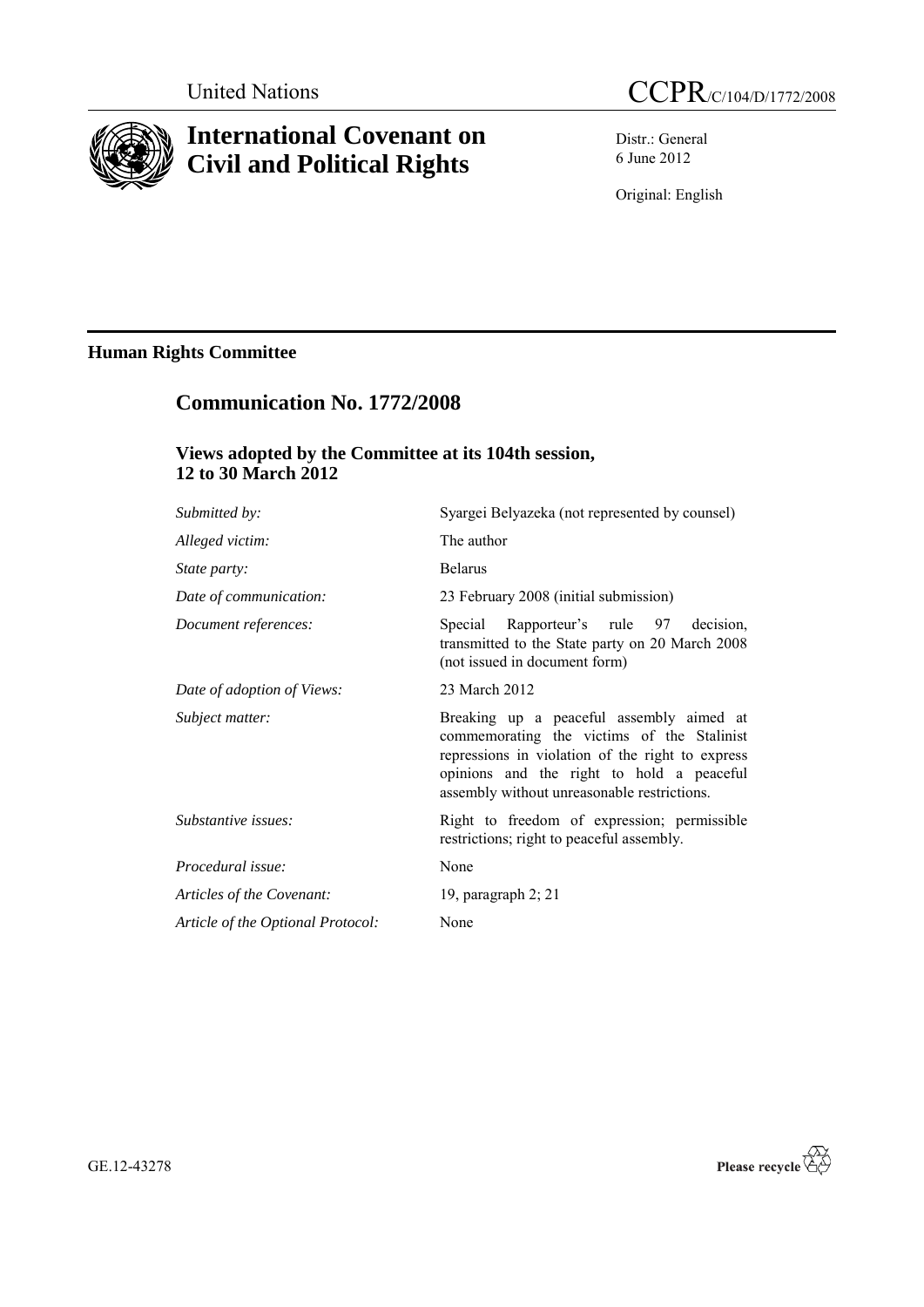

# **International Covenant on Civil and Political Rights**

Distr.: General 6 June 2012

Original: English

# **Human Rights Committee**

# **Communication No. 1772/2008**

### **Views adopted by the Committee at its 104th session, 12 to 30 March 2012**

| Submitted by:                     | Syargei Belyazeka (not represented by counsel)                                                                                                                                                                                         |
|-----------------------------------|----------------------------------------------------------------------------------------------------------------------------------------------------------------------------------------------------------------------------------------|
| Alleged victim:                   | The author                                                                                                                                                                                                                             |
| <i>State party:</i>               | <b>Belarus</b>                                                                                                                                                                                                                         |
| Date of communication:            | 23 February 2008 (initial submission)                                                                                                                                                                                                  |
| Document references:              | Special Rapporteur's rule 97 decision,<br>transmitted to the State party on 20 March 2008<br>(not issued in document form)                                                                                                             |
| Date of adoption of Views:        | 23 March 2012                                                                                                                                                                                                                          |
| Subject matter:                   | Breaking up a peaceful assembly aimed at<br>commemorating the victims of the Stalinist<br>repressions in violation of the right to express<br>opinions and the right to hold a peaceful<br>assembly without unreasonable restrictions. |
| Substantive issues:               | Right to freedom of expression; permissible<br>restrictions; right to peaceful assembly.                                                                                                                                               |
| Procedural issue:                 | None                                                                                                                                                                                                                                   |
| Articles of the Covenant:         | 19, paragraph $2$ ; $21$                                                                                                                                                                                                               |
| Article of the Optional Protocol: | None                                                                                                                                                                                                                                   |
|                                   |                                                                                                                                                                                                                                        |

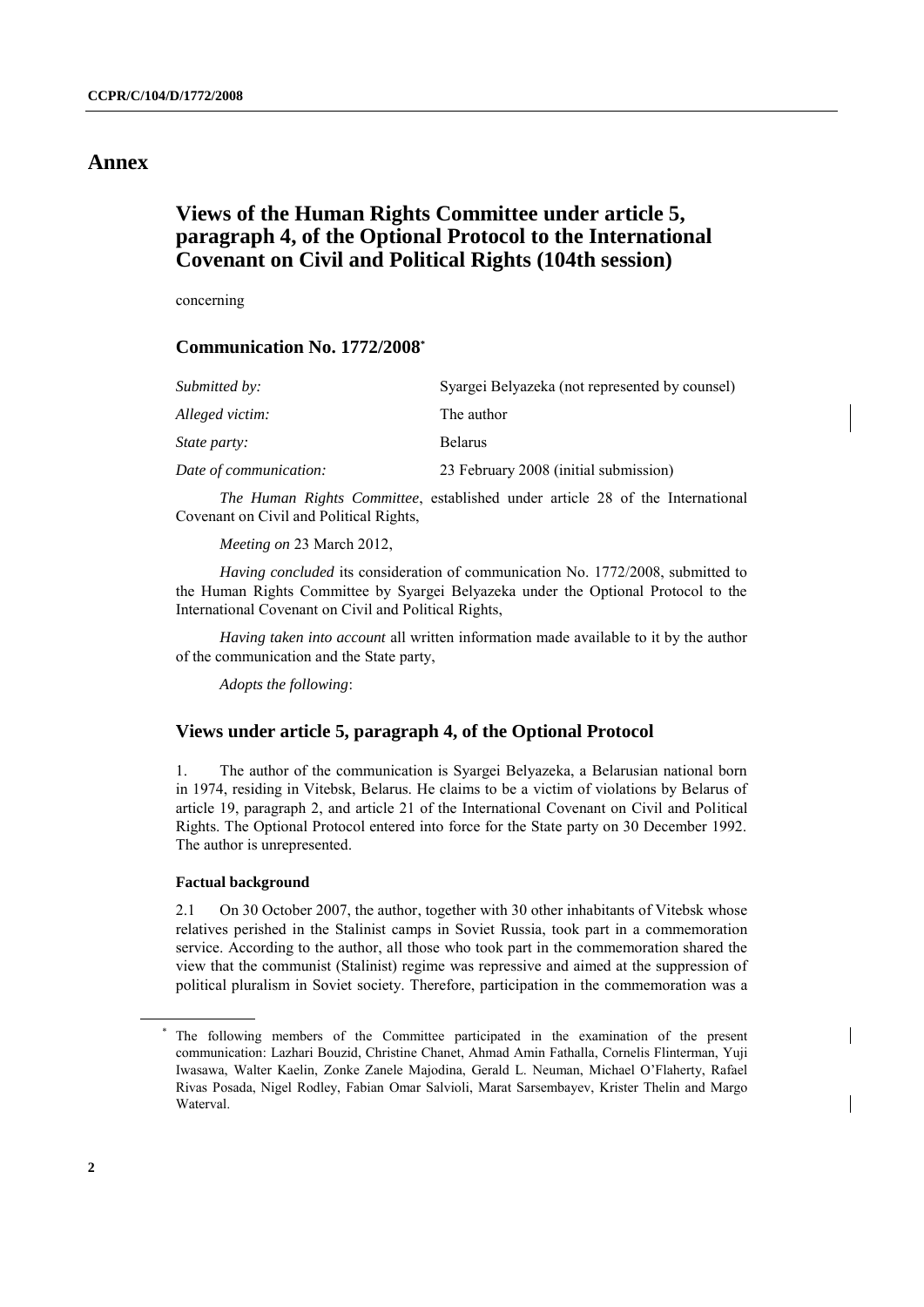### **Annex**

## **Views of the Human Rights Committee under article 5, paragraph 4, of the Optional Protocol to the International Covenant on Civil and Political Rights (104th session)**

concerning

#### **Communication No. 1772/2008\***

| Submitted by:          | Syargei Belyazeka (not represented by counsel) |
|------------------------|------------------------------------------------|
| Alleged victim:        | The author                                     |
| State party:           | <b>Belarus</b>                                 |
| Date of communication: | 23 February 2008 (initial submission)          |

*The Human Rights Committee*, established under article 28 of the International Covenant on Civil and Political Rights,

*Meeting on* 23 March 2012,

*Having concluded* its consideration of communication No. 1772/2008, submitted to the Human Rights Committee by Syargei Belyazeka under the Optional Protocol to the International Covenant on Civil and Political Rights,

*Having taken into account* all written information made available to it by the author of the communication and the State party,

*Adopts the following*:

#### **Views under article 5, paragraph 4, of the Optional Protocol**

1. The author of the communication is Syargei Belyazeka, a Belarusian national born in 1974, residing in Vitebsk, Belarus. He claims to be a victim of violations by Belarus of article 19, paragraph 2, and article 21 of the International Covenant on Civil and Political Rights. The Optional Protocol entered into force for the State party on 30 December 1992. The author is unrepresented.

#### **Factual background**

2.1 On 30 October 2007, the author, together with 30 other inhabitants of Vitebsk whose relatives perished in the Stalinist camps in Soviet Russia, took part in a commemoration service. According to the author, all those who took part in the commemoration shared the view that the communist (Stalinist) regime was repressive and aimed at the suppression of political pluralism in Soviet society. Therefore, participation in the commemoration was a

<sup>\*</sup> The following members of the Committee participated in the examination of the present communication: Lazhari Bouzid, Christine Chanet, Ahmad Amin Fathalla, Cornelis Flinterman, Yuji Iwasawa, Walter Kaelin, Zonke Zanele Majodina, Gerald L. Neuman, Michael O"Flaherty, Rafael Rivas Posada, Nigel Rodley, Fabian Omar Salvioli, Marat Sarsembayev, Krister Thelin and Margo Waterval.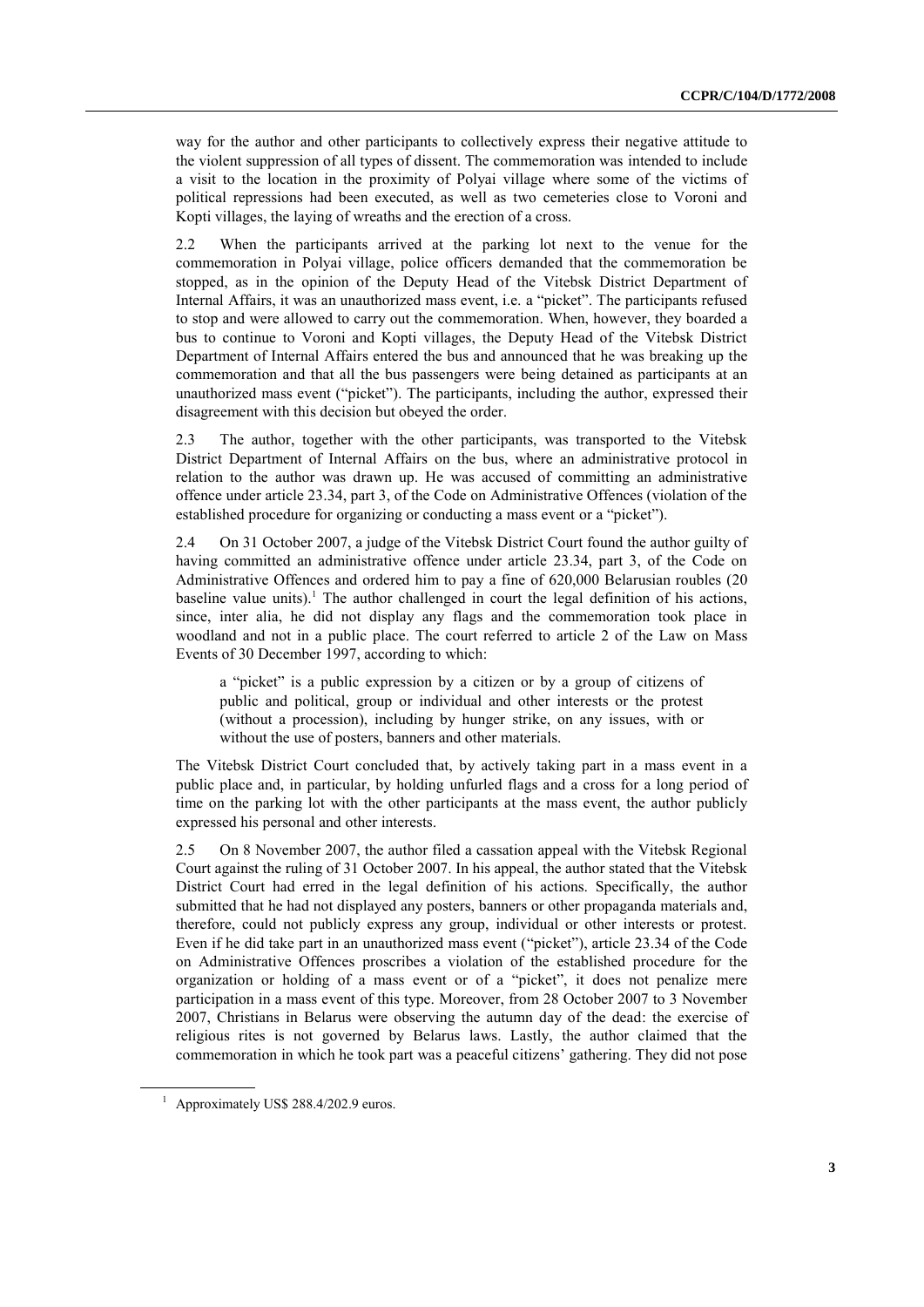way for the author and other participants to collectively express their negative attitude to the violent suppression of all types of dissent. The commemoration was intended to include a visit to the location in the proximity of Polyai village where some of the victims of political repressions had been executed, as well as two cemeteries close to Voroni and Kopti villages, the laying of wreaths and the erection of a cross.

2.2 When the participants arrived at the parking lot next to the venue for the commemoration in Polyai village, police officers demanded that the commemoration be stopped, as in the opinion of the Deputy Head of the Vitebsk District Department of Internal Affairs, it was an unauthorized mass event, i.e. a "picket". The participants refused to stop and were allowed to carry out the commemoration. When, however, they boarded a bus to continue to Voroni and Kopti villages, the Deputy Head of the Vitebsk District Department of Internal Affairs entered the bus and announced that he was breaking up the commemoration and that all the bus passengers were being detained as participants at an unauthorized mass event ("picket"). The participants, including the author, expressed their disagreement with this decision but obeyed the order.

2.3 The author, together with the other participants, was transported to the Vitebsk District Department of Internal Affairs on the bus, where an administrative protocol in relation to the author was drawn up. He was accused of committing an administrative offence under article 23.34, part 3, of the Code on Administrative Offences (violation of the established procedure for organizing or conducting a mass event or a "picket").

2.4 On 31 October 2007, a judge of the Vitebsk District Court found the author guilty of having committed an administrative offence under article 23.34, part 3, of the Code on Administrative Offences and ordered him to pay a fine of 620,000 Belarusian roubles (20 baseline value units). <sup>1</sup> The author challenged in court the legal definition of his actions, since, inter alia, he did not display any flags and the commemoration took place in woodland and not in a public place. The court referred to article 2 of the Law on Mass Events of 30 December 1997, according to which:

a "picket" is a public expression by a citizen or by a group of citizens of public and political, group or individual and other interests or the protest (without a procession), including by hunger strike, on any issues, with or without the use of posters, banners and other materials.

The Vitebsk District Court concluded that, by actively taking part in a mass event in a public place and, in particular, by holding unfurled flags and a cross for a long period of time on the parking lot with the other participants at the mass event, the author publicly expressed his personal and other interests.

2.5 On 8 November 2007, the author filed a cassation appeal with the Vitebsk Regional Court against the ruling of 31 October 2007. In his appeal, the author stated that the Vitebsk District Court had erred in the legal definition of his actions. Specifically, the author submitted that he had not displayed any posters, banners or other propaganda materials and, therefore, could not publicly express any group, individual or other interests or protest. Even if he did take part in an unauthorized mass event ("picket"), article 23.34 of the Code on Administrative Offences proscribes a violation of the established procedure for the organization or holding of a mass event or of a "picket", it does not penalize mere participation in a mass event of this type. Moreover, from 28 October 2007 to 3 November 2007, Christians in Belarus were observing the autumn day of the dead: the exercise of religious rites is not governed by Belarus laws. Lastly, the author claimed that the commemoration in which he took part was a peaceful citizens" gathering. They did not pose

<sup>&</sup>lt;sup>1</sup> Approximately US\$ 288.4/202.9 euros.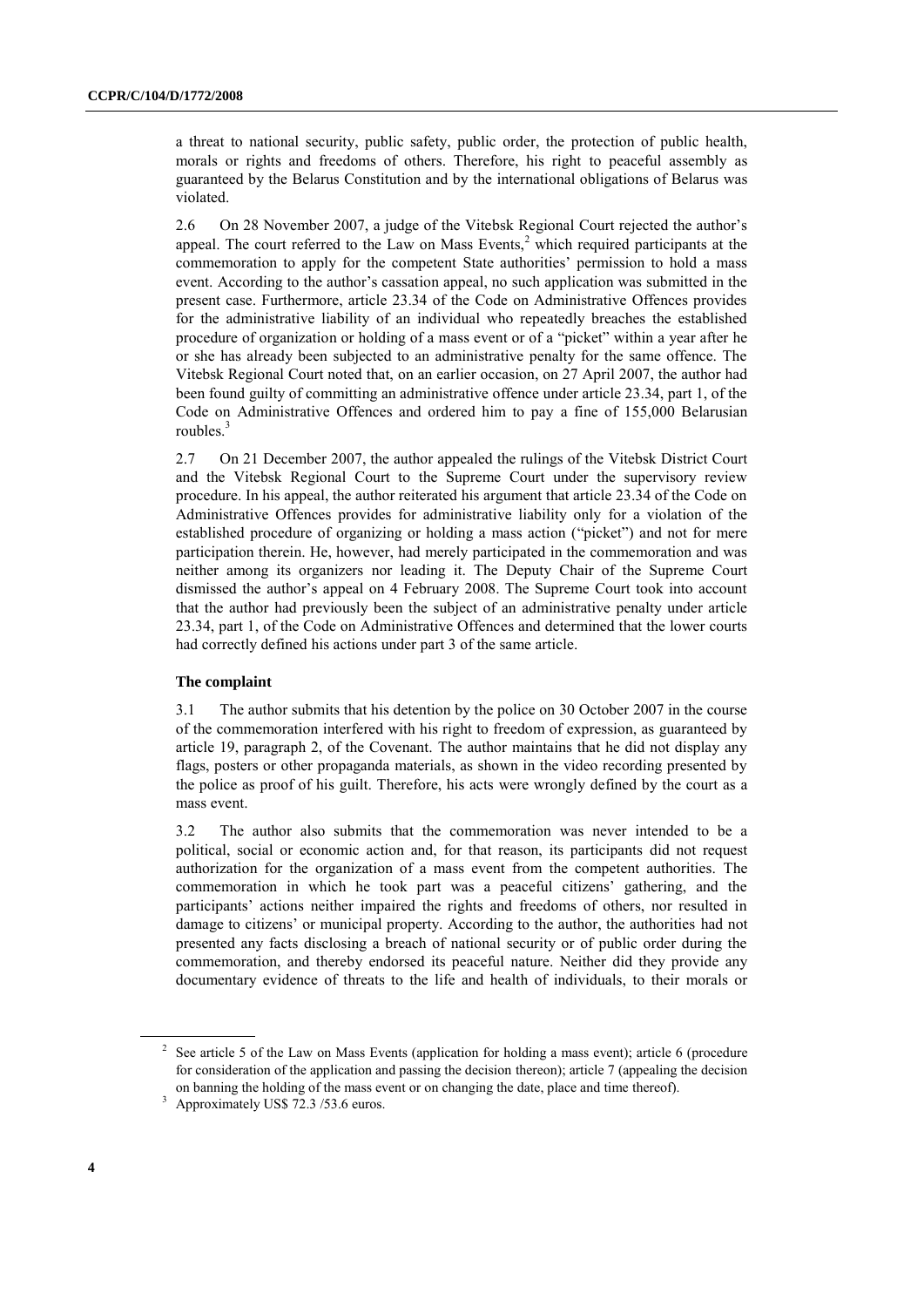a threat to national security, public safety, public order, the protection of public health, morals or rights and freedoms of others. Therefore, his right to peaceful assembly as guaranteed by the Belarus Constitution and by the international obligations of Belarus was violated.

2.6 On 28 November 2007, a judge of the Vitebsk Regional Court rejected the author"s appeal. The court referred to the Law on Mass Events, $2$  which required participants at the commemoration to apply for the competent State authorities" permission to hold a mass event. According to the author"s cassation appeal, no such application was submitted in the present case. Furthermore, article 23.34 of the Code on Administrative Offences provides for the administrative liability of an individual who repeatedly breaches the established procedure of organization or holding of a mass event or of a "picket" within a year after he or she has already been subjected to an administrative penalty for the same offence. The Vitebsk Regional Court noted that, on an earlier occasion, on 27 April 2007, the author had been found guilty of committing an administrative offence under article 23.34, part 1, of the Code on Administrative Offences and ordered him to pay a fine of 155,000 Belarusian roubles.<sup>3</sup>

2.7 On 21 December 2007, the author appealed the rulings of the Vitebsk District Court and the Vitebsk Regional Court to the Supreme Court under the supervisory review procedure. In his appeal, the author reiterated his argument that article 23.34 of the Code on Administrative Offences provides for administrative liability only for a violation of the established procedure of organizing or holding a mass action ("picket") and not for mere participation therein. He, however, had merely participated in the commemoration and was neither among its organizers nor leading it. The Deputy Chair of the Supreme Court dismissed the author"s appeal on 4 February 2008. The Supreme Court took into account that the author had previously been the subject of an administrative penalty under article 23.34, part 1, of the Code on Administrative Offences and determined that the lower courts had correctly defined his actions under part 3 of the same article.

#### **The complaint**

3.1 The author submits that his detention by the police on 30 October 2007 in the course of the commemoration interfered with his right to freedom of expression, as guaranteed by article 19, paragraph 2, of the Covenant. The author maintains that he did not display any flags, posters or other propaganda materials, as shown in the video recording presented by the police as proof of his guilt. Therefore, his acts were wrongly defined by the court as a mass event.

3.2 The author also submits that the commemoration was never intended to be a political, social or economic action and, for that reason, its participants did not request authorization for the organization of a mass event from the competent authorities. The commemoration in which he took part was a peaceful citizens" gathering, and the participants" actions neither impaired the rights and freedoms of others, nor resulted in damage to citizens' or municipal property. According to the author, the authorities had not presented any facts disclosing a breach of national security or of public order during the commemoration, and thereby endorsed its peaceful nature. Neither did they provide any documentary evidence of threats to the life and health of individuals, to their morals or

<sup>&</sup>lt;sup>2</sup> See article 5 of the Law on Mass Events (application for holding a mass event); article 6 (procedure for consideration of the application and passing the decision thereon); article 7 (appealing the decision on banning the holding of the mass event or on changing the date, place and time thereof).

<sup>&</sup>lt;sup>3</sup> Approximately US\$ 72.3 /53.6 euros.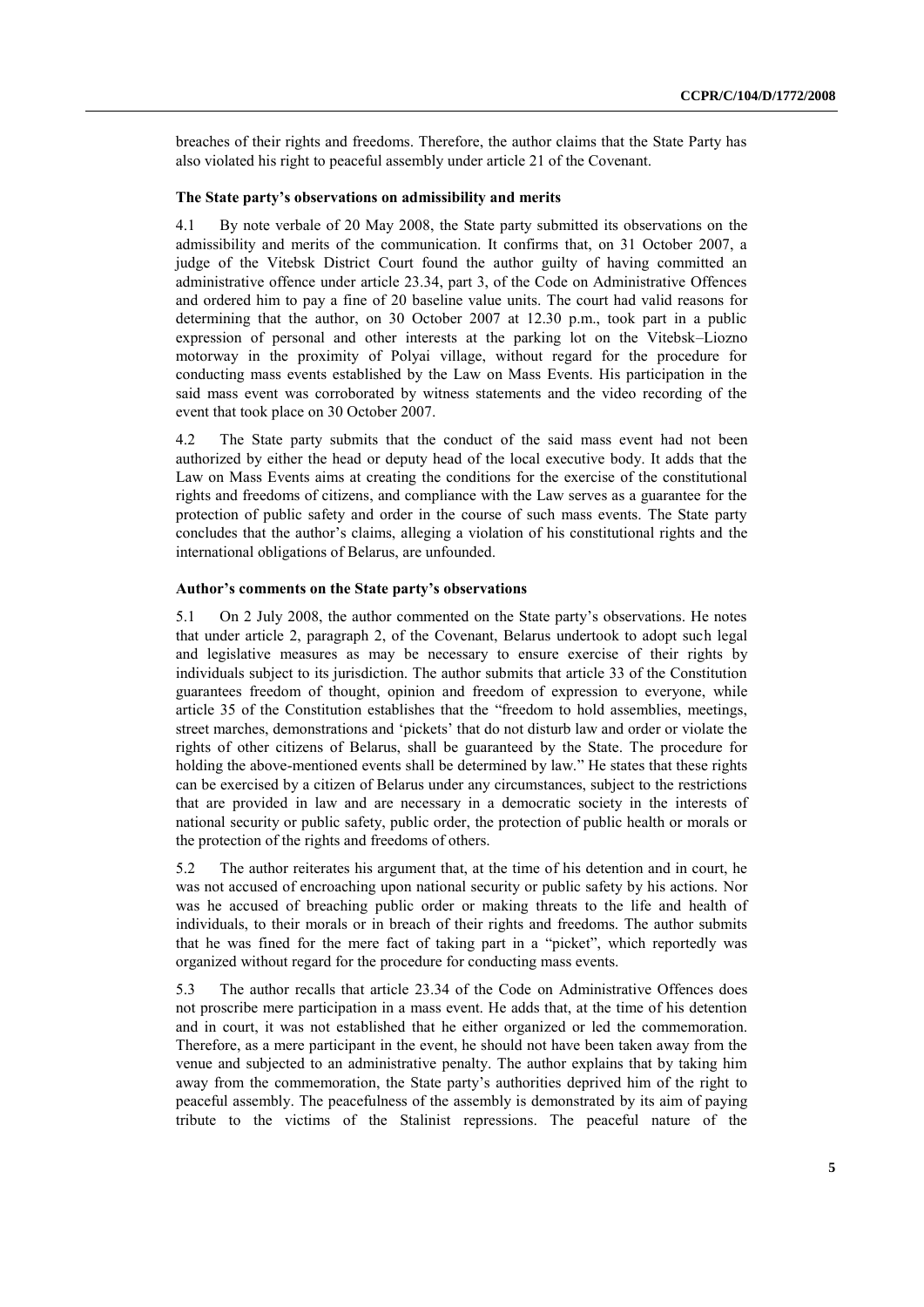breaches of their rights and freedoms. Therefore, the author claims that the State Party has also violated his right to peaceful assembly under article 21 of the Covenant.

#### **The State party's observations on admissibility and merits**

4.1 By note verbale of 20 May 2008, the State party submitted its observations on the admissibility and merits of the communication. It confirms that, on 31 October 2007, a judge of the Vitebsk District Court found the author guilty of having committed an administrative offence under article 23.34, part 3, of the Code on Administrative Offences and ordered him to pay a fine of 20 baseline value units. The court had valid reasons for determining that the author, on 30 October 2007 at 12.30 p.m., took part in a public expression of personal and other interests at the parking lot on the Vitebsk–Liozno motorway in the proximity of Polyai village, without regard for the procedure for conducting mass events established by the Law on Mass Events. His participation in the said mass event was corroborated by witness statements and the video recording of the event that took place on 30 October 2007.

4.2 The State party submits that the conduct of the said mass event had not been authorized by either the head or deputy head of the local executive body. It adds that the Law on Mass Events aims at creating the conditions for the exercise of the constitutional rights and freedoms of citizens, and compliance with the Law serves as a guarantee for the protection of public safety and order in the course of such mass events. The State party concludes that the author"s claims, alleging a violation of his constitutional rights and the international obligations of Belarus, are unfounded.

#### **Author's comments on the State party's observations**

5.1 On 2 July 2008, the author commented on the State party"s observations. He notes that under article 2, paragraph 2, of the Covenant, Belarus undertook to adopt such legal and legislative measures as may be necessary to ensure exercise of their rights by individuals subject to its jurisdiction. The author submits that article 33 of the Constitution guarantees freedom of thought, opinion and freedom of expression to everyone, while article 35 of the Constitution establishes that the "freedom to hold assemblies, meetings, street marches, demonstrations and "pickets" that do not disturb law and order or violate the rights of other citizens of Belarus, shall be guaranteed by the State. The procedure for holding the above-mentioned events shall be determined by law." He states that these rights can be exercised by a citizen of Belarus under any circumstances, subject to the restrictions that are provided in law and are necessary in a democratic society in the interests of national security or public safety, public order, the protection of public health or morals or the protection of the rights and freedoms of others.

5.2 The author reiterates his argument that, at the time of his detention and in court, he was not accused of encroaching upon national security or public safety by his actions. Nor was he accused of breaching public order or making threats to the life and health of individuals, to their morals or in breach of their rights and freedoms. The author submits that he was fined for the mere fact of taking part in a "picket", which reportedly was organized without regard for the procedure for conducting mass events.

5.3 The author recalls that article 23.34 of the Code on Administrative Offences does not proscribe mere participation in a mass event. He adds that, at the time of his detention and in court, it was not established that he either organized or led the commemoration. Therefore, as a mere participant in the event, he should not have been taken away from the venue and subjected to an administrative penalty. The author explains that by taking him away from the commemoration, the State party"s authorities deprived him of the right to peaceful assembly. The peacefulness of the assembly is demonstrated by its aim of paying tribute to the victims of the Stalinist repressions. The peaceful nature of the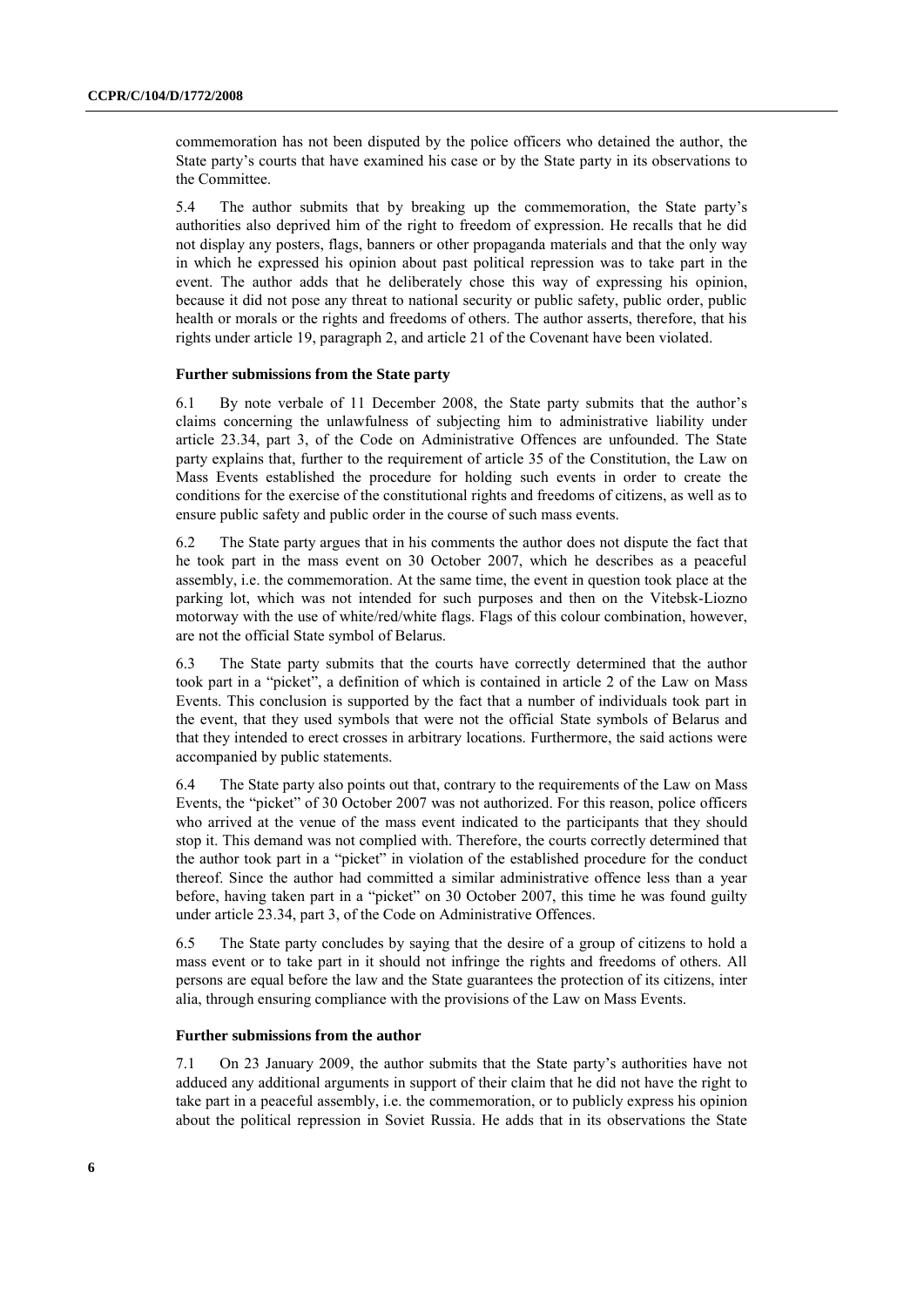commemoration has not been disputed by the police officers who detained the author, the State party's courts that have examined his case or by the State party in its observations to the Committee.

5.4 The author submits that by breaking up the commemoration, the State party"s authorities also deprived him of the right to freedom of expression. He recalls that he did not display any posters, flags, banners or other propaganda materials and that the only way in which he expressed his opinion about past political repression was to take part in the event. The author adds that he deliberately chose this way of expressing his opinion, because it did not pose any threat to national security or public safety, public order, public health or morals or the rights and freedoms of others. The author asserts, therefore, that his rights under article 19, paragraph 2, and article 21 of the Covenant have been violated.

#### **Further submissions from the State party**

6.1 By note verbale of 11 December 2008, the State party submits that the author"s claims concerning the unlawfulness of subjecting him to administrative liability under article 23.34, part 3, of the Code on Administrative Offences are unfounded. The State party explains that, further to the requirement of article 35 of the Constitution, the Law on Mass Events established the procedure for holding such events in order to create the conditions for the exercise of the constitutional rights and freedoms of citizens, as well as to ensure public safety and public order in the course of such mass events.

6.2 The State party argues that in his comments the author does not dispute the fact that he took part in the mass event on 30 October 2007, which he describes as a peaceful assembly, i.e. the commemoration. At the same time, the event in question took place at the parking lot, which was not intended for such purposes and then on the Vitebsk-Liozno motorway with the use of white/red/white flags. Flags of this colour combination, however, are not the official State symbol of Belarus.

6.3 The State party submits that the courts have correctly determined that the author took part in a "picket", a definition of which is contained in article 2 of the Law on Mass Events. This conclusion is supported by the fact that a number of individuals took part in the event, that they used symbols that were not the official State symbols of Belarus and that they intended to erect crosses in arbitrary locations. Furthermore, the said actions were accompanied by public statements.

6.4 The State party also points out that, contrary to the requirements of the Law on Mass Events, the "picket" of 30 October 2007 was not authorized. For this reason, police officers who arrived at the venue of the mass event indicated to the participants that they should stop it. This demand was not complied with. Therefore, the courts correctly determined that the author took part in a "picket" in violation of the established procedure for the conduct thereof. Since the author had committed a similar administrative offence less than a year before, having taken part in a "picket" on 30 October 2007, this time he was found guilty under article 23.34, part 3, of the Code on Administrative Offences.

6.5 The State party concludes by saying that the desire of a group of citizens to hold a mass event or to take part in it should not infringe the rights and freedoms of others. All persons are equal before the law and the State guarantees the protection of its citizens, inter alia, through ensuring compliance with the provisions of the Law on Mass Events.

#### **Further submissions from the author**

7.1 On 23 January 2009, the author submits that the State party"s authorities have not adduced any additional arguments in support of their claim that he did not have the right to take part in a peaceful assembly, i.e. the commemoration, or to publicly express his opinion about the political repression in Soviet Russia. He adds that in its observations the State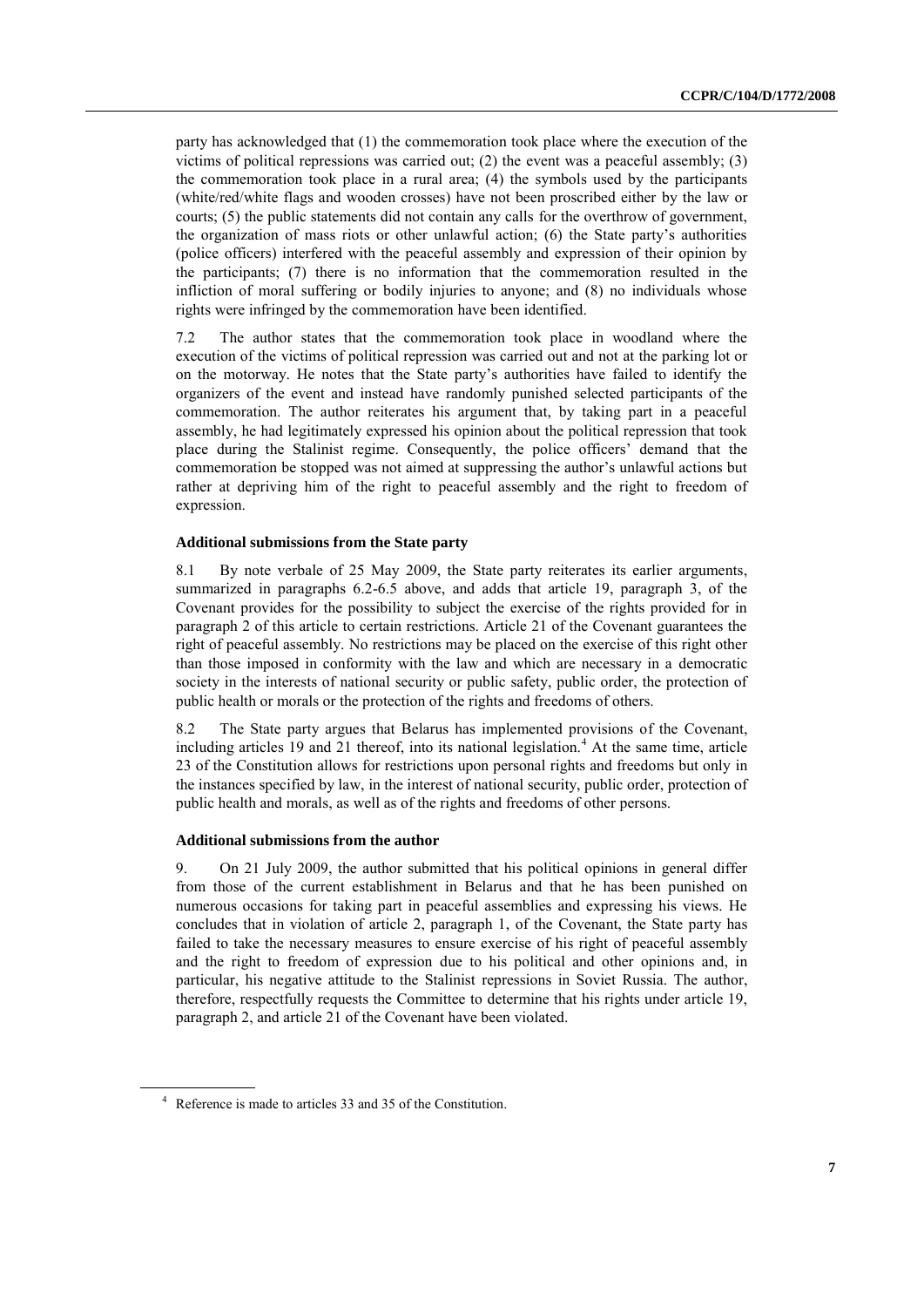party has acknowledged that (1) the commemoration took place where the execution of the victims of political repressions was carried out; (2) the event was a peaceful assembly; (3) the commemoration took place in a rural area; (4) the symbols used by the participants (white/red/white flags and wooden crosses) have not been proscribed either by the law or courts; (5) the public statements did not contain any calls for the overthrow of government, the organization of mass riots or other unlawful action; (6) the State party"s authorities (police officers) interfered with the peaceful assembly and expression of their opinion by the participants; (7) there is no information that the commemoration resulted in the infliction of moral suffering or bodily injuries to anyone; and (8) no individuals whose rights were infringed by the commemoration have been identified.

7.2 The author states that the commemoration took place in woodland where the execution of the victims of political repression was carried out and not at the parking lot or on the motorway. He notes that the State party"s authorities have failed to identify the organizers of the event and instead have randomly punished selected participants of the commemoration. The author reiterates his argument that, by taking part in a peaceful assembly, he had legitimately expressed his opinion about the political repression that took place during the Stalinist regime. Consequently, the police officers" demand that the commemoration be stopped was not aimed at suppressing the author"s unlawful actions but rather at depriving him of the right to peaceful assembly and the right to freedom of expression.

#### **Additional submissions from the State party**

8.1 By note verbale of 25 May 2009, the State party reiterates its earlier arguments, summarized in paragraphs 6.2-6.5 above, and adds that article 19, paragraph 3, of the Covenant provides for the possibility to subject the exercise of the rights provided for in paragraph 2 of this article to certain restrictions. Article 21 of the Covenant guarantees the right of peaceful assembly. No restrictions may be placed on the exercise of this right other than those imposed in conformity with the law and which are necessary in a democratic society in the interests of national security or public safety, public order, the protection of public health or morals or the protection of the rights and freedoms of others.

8.2 The State party argues that Belarus has implemented provisions of the Covenant, including articles 19 and 21 thereof, into its national legislation.<sup>4</sup> At the same time, article 23 of the Constitution allows for restrictions upon personal rights and freedoms but only in the instances specified by law, in the interest of national security, public order, protection of public health and morals, as well as of the rights and freedoms of other persons.

#### **Additional submissions from the author**

9. On 21 July 2009, the author submitted that his political opinions in general differ from those of the current establishment in Belarus and that he has been punished on numerous occasions for taking part in peaceful assemblies and expressing his views. He concludes that in violation of article 2, paragraph 1, of the Covenant, the State party has failed to take the necessary measures to ensure exercise of his right of peaceful assembly and the right to freedom of expression due to his political and other opinions and, in particular, his negative attitude to the Stalinist repressions in Soviet Russia. The author, therefore, respectfully requests the Committee to determine that his rights under article 19, paragraph 2, and article 21 of the Covenant have been violated.

<sup>4</sup> Reference is made to articles 33 and 35 of the Constitution.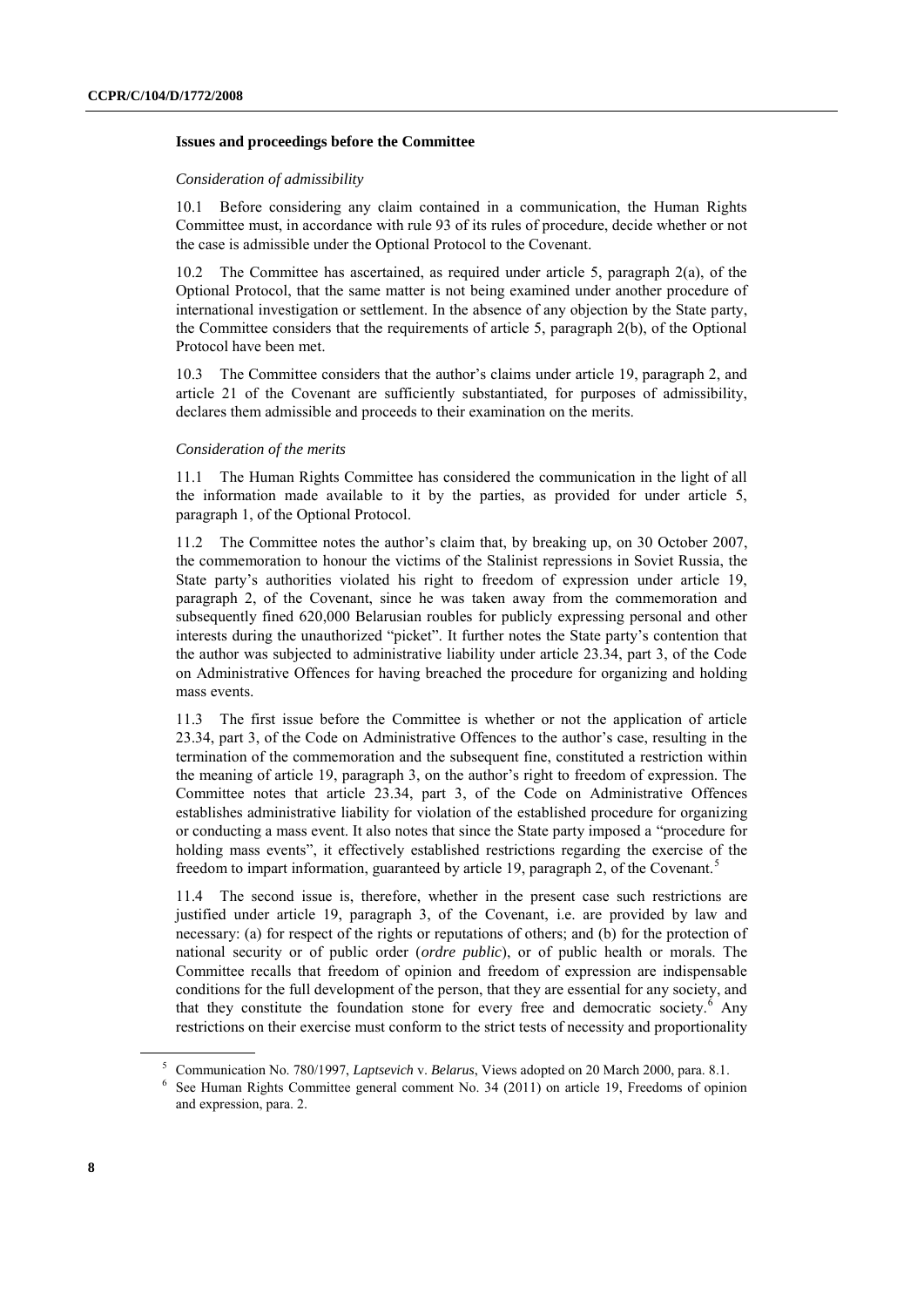#### **Issues and proceedings before the Committee**

#### *Consideration of admissibility*

10.1 Before considering any claim contained in a communication, the Human Rights Committee must, in accordance with rule 93 of its rules of procedure, decide whether or not the case is admissible under the Optional Protocol to the Covenant.

10.2 The Committee has ascertained, as required under article 5, paragraph 2(a), of the Optional Protocol, that the same matter is not being examined under another procedure of international investigation or settlement. In the absence of any objection by the State party, the Committee considers that the requirements of article 5, paragraph 2(b), of the Optional Protocol have been met.

10.3 The Committee considers that the author"s claims under article 19, paragraph 2, and article 21 of the Covenant are sufficiently substantiated, for purposes of admissibility, declares them admissible and proceeds to their examination on the merits.

#### *Consideration of the merits*

11.1 The Human Rights Committee has considered the communication in the light of all the information made available to it by the parties, as provided for under article 5, paragraph 1, of the Optional Protocol.

11.2 The Committee notes the author"s claim that, by breaking up, on 30 October 2007, the commemoration to honour the victims of the Stalinist repressions in Soviet Russia, the State party"s authorities violated his right to freedom of expression under article 19, paragraph 2, of the Covenant, since he was taken away from the commemoration and subsequently fined 620,000 Belarusian roubles for publicly expressing personal and other interests during the unauthorized "picket". It further notes the State party"s contention that the author was subjected to administrative liability under article 23.34, part 3, of the Code on Administrative Offences for having breached the procedure for organizing and holding mass events.

11.3 The first issue before the Committee is whether or not the application of article 23.34, part 3, of the Code on Administrative Offences to the author"s case, resulting in the termination of the commemoration and the subsequent fine, constituted a restriction within the meaning of article 19, paragraph 3, on the author"s right to freedom of expression. The Committee notes that article 23.34, part 3, of the Code on Administrative Offences establishes administrative liability for violation of the established procedure for organizing or conducting a mass event. It also notes that since the State party imposed a "procedure for holding mass events", it effectively established restrictions regarding the exercise of the freedom to impart information, guaranteed by article 19, paragraph 2, of the Covenant.<sup>5</sup>

11.4 The second issue is, therefore, whether in the present case such restrictions are justified under article 19, paragraph 3, of the Covenant, i.e. are provided by law and necessary: (a) for respect of the rights or reputations of others; and (b) for the protection of national security or of public order (*ordre public*), or of public health or morals. The Committee recalls that freedom of opinion and freedom of expression are indispensable conditions for the full development of the person, that they are essential for any society, and that they constitute the foundation stone for every free and democratic society.<sup>6</sup> Any restrictions on their exercise must conform to the strict tests of necessity and proportionality

<sup>5</sup> Communication No. 780/1997, *Laptsevich* v. *Belarus*, Views adopted on 20 March 2000, para. 8.1.

<sup>6</sup> See Human Rights Committee general comment No. 34 (2011) on article 19, Freedoms of opinion and expression, para. 2.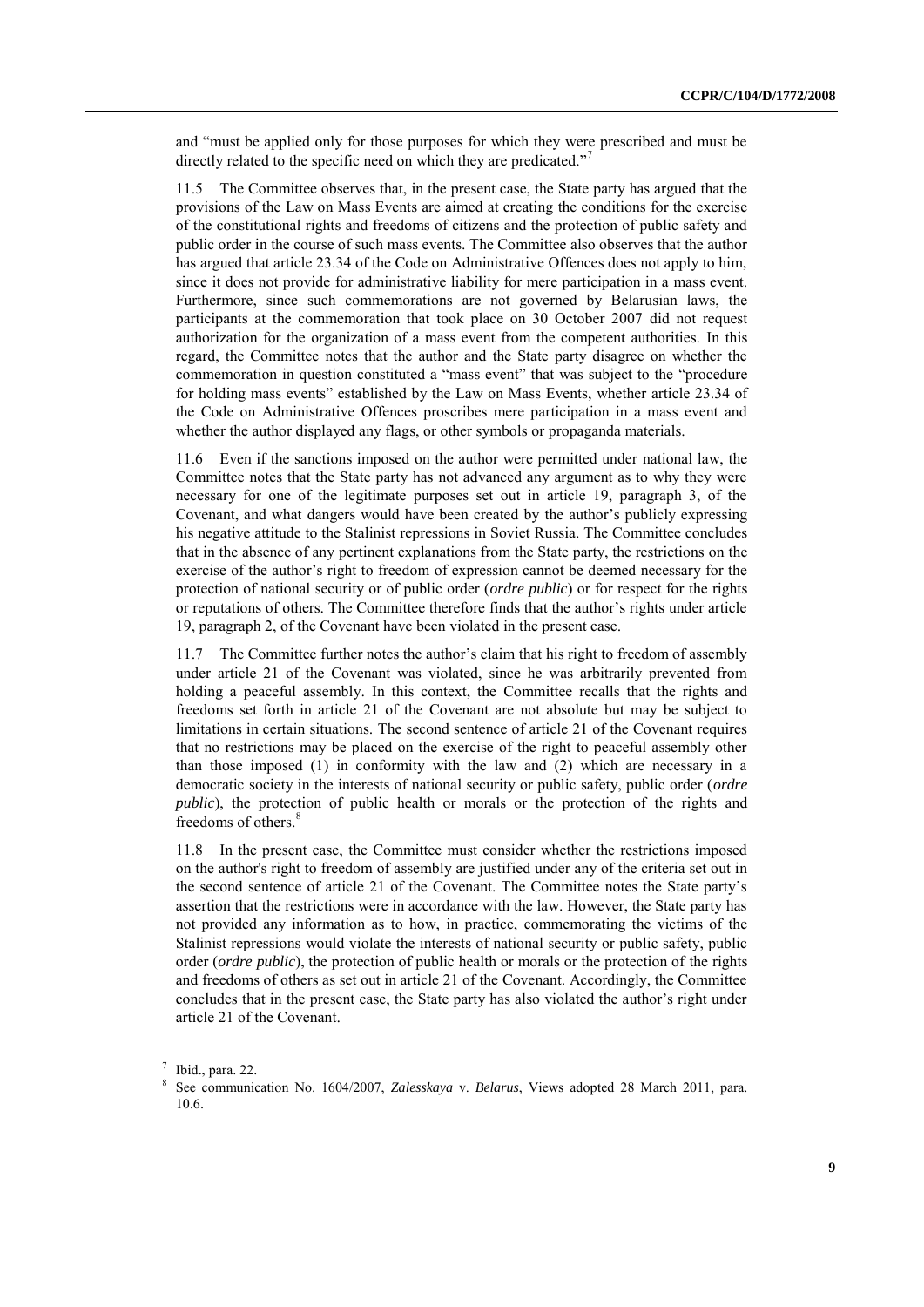and "must be applied only for those purposes for which they were prescribed and must be directly related to the specific need on which they are predicated."<sup>7</sup>

11.5 The Committee observes that, in the present case, the State party has argued that the provisions of the Law on Mass Events are aimed at creating the conditions for the exercise of the constitutional rights and freedoms of citizens and the protection of public safety and public order in the course of such mass events. The Committee also observes that the author has argued that article 23.34 of the Code on Administrative Offences does not apply to him, since it does not provide for administrative liability for mere participation in a mass event. Furthermore, since such commemorations are not governed by Belarusian laws, the participants at the commemoration that took place on 30 October 2007 did not request authorization for the organization of a mass event from the competent authorities. In this regard, the Committee notes that the author and the State party disagree on whether the commemoration in question constituted a "mass event" that was subject to the "procedure for holding mass events" established by the Law on Mass Events, whether article 23.34 of the Code on Administrative Offences proscribes mere participation in a mass event and whether the author displayed any flags, or other symbols or propaganda materials.

11.6 Even if the sanctions imposed on the author were permitted under national law, the Committee notes that the State party has not advanced any argument as to why they were necessary for one of the legitimate purposes set out in article 19, paragraph 3, of the Covenant, and what dangers would have been created by the author"s publicly expressing his negative attitude to the Stalinist repressions in Soviet Russia. The Committee concludes that in the absence of any pertinent explanations from the State party, the restrictions on the exercise of the author"s right to freedom of expression cannot be deemed necessary for the protection of national security or of public order (*ordre public*) or for respect for the rights or reputations of others. The Committee therefore finds that the author"s rights under article 19, paragraph 2, of the Covenant have been violated in the present case.

11.7 The Committee further notes the author"s claim that his right to freedom of assembly under article 21 of the Covenant was violated, since he was arbitrarily prevented from holding a peaceful assembly. In this context, the Committee recalls that the rights and freedoms set forth in article 21 of the Covenant are not absolute but may be subject to limitations in certain situations. The second sentence of article 21 of the Covenant requires that no restrictions may be placed on the exercise of the right to peaceful assembly other than those imposed (1) in conformity with the law and (2) which are necessary in a democratic society in the interests of national security or public safety, public order (*ordre public*), the protection of public health or morals or the protection of the rights and freedoms of others.<sup>8</sup>

11.8 In the present case, the Committee must consider whether the restrictions imposed on the author's right to freedom of assembly are justified under any of the criteria set out in the second sentence of article 21 of the Covenant. The Committee notes the State party"s assertion that the restrictions were in accordance with the law. However, the State party has not provided any information as to how, in practice, commemorating the victims of the Stalinist repressions would violate the interests of national security or public safety, public order (*ordre public*), the protection of public health or morals or the protection of the rights and freedoms of others as set out in article 21 of the Covenant. Accordingly, the Committee concludes that in the present case, the State party has also violated the author's right under article 21 of the Covenant.

 $<sup>7</sup>$  Ibid., para. 22.</sup>

<sup>8</sup> See communication No. 1604/2007, *Zalesskaya* v. *Belarus*, Views adopted 28 March 2011, para. 10.6.